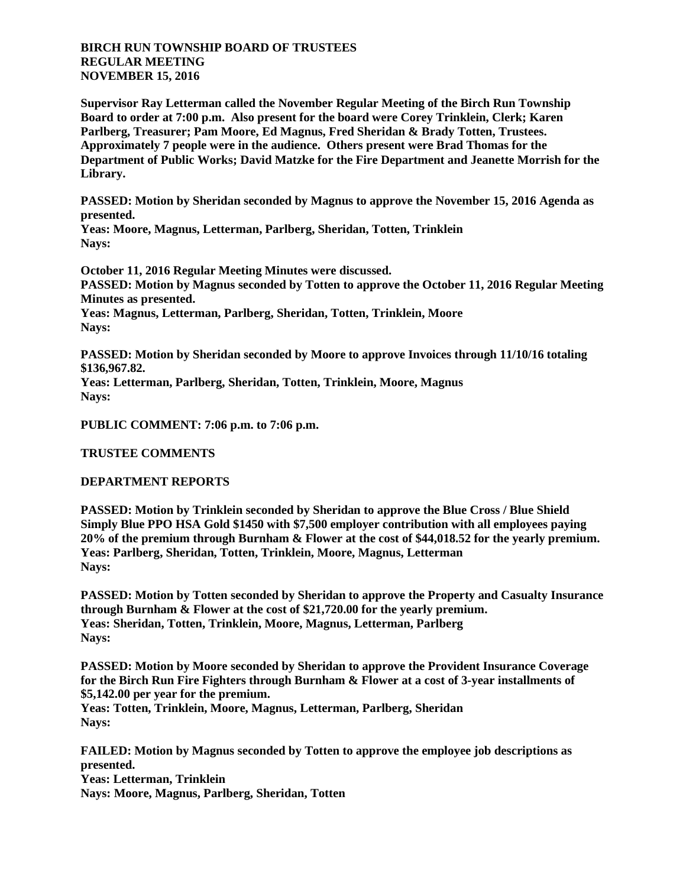## **BIRCH RUN TOWNSHIP BOARD OF TRUSTEES REGULAR MEETING NOVEMBER 15, 2016**

**Supervisor Ray Letterman called the November Regular Meeting of the Birch Run Township Board to order at 7:00 p.m. Also present for the board were Corey Trinklein, Clerk; Karen Parlberg, Treasurer; Pam Moore, Ed Magnus, Fred Sheridan & Brady Totten, Trustees. Approximately 7 people were in the audience. Others present were Brad Thomas for the Department of Public Works; David Matzke for the Fire Department and Jeanette Morrish for the Library.**

**PASSED: Motion by Sheridan seconded by Magnus to approve the November 15, 2016 Agenda as presented.**

**Yeas: Moore, Magnus, Letterman, Parlberg, Sheridan, Totten, Trinklein Nays:** 

**October 11, 2016 Regular Meeting Minutes were discussed. PASSED: Motion by Magnus seconded by Totten to approve the October 11, 2016 Regular Meeting Minutes as presented. Yeas: Magnus, Letterman, Parlberg, Sheridan, Totten, Trinklein, Moore Nays:** 

**PASSED: Motion by Sheridan seconded by Moore to approve Invoices through 11/10/16 totaling \$136,967.82.**

**Yeas: Letterman, Parlberg, Sheridan, Totten, Trinklein, Moore, Magnus Nays:** 

**PUBLIC COMMENT: 7:06 p.m. to 7:06 p.m.**

**TRUSTEE COMMENTS**

## **DEPARTMENT REPORTS**

**PASSED: Motion by Trinklein seconded by Sheridan to approve the Blue Cross / Blue Shield Simply Blue PPO HSA Gold \$1450 with \$7,500 employer contribution with all employees paying 20% of the premium through Burnham & Flower at the cost of \$44,018.52 for the yearly premium. Yeas: Parlberg, Sheridan, Totten, Trinklein, Moore, Magnus, Letterman Nays:** 

**PASSED: Motion by Totten seconded by Sheridan to approve the Property and Casualty Insurance through Burnham & Flower at the cost of \$21,720.00 for the yearly premium. Yeas: Sheridan, Totten, Trinklein, Moore, Magnus, Letterman, Parlberg Nays:** 

**PASSED: Motion by Moore seconded by Sheridan to approve the Provident Insurance Coverage for the Birch Run Fire Fighters through Burnham & Flower at a cost of 3-year installments of \$5,142.00 per year for the premium. Yeas: Totten, Trinklein, Moore, Magnus, Letterman, Parlberg, Sheridan Nays:** 

**FAILED: Motion by Magnus seconded by Totten to approve the employee job descriptions as presented. Yeas: Letterman, Trinklein Nays: Moore, Magnus, Parlberg, Sheridan, Totten**